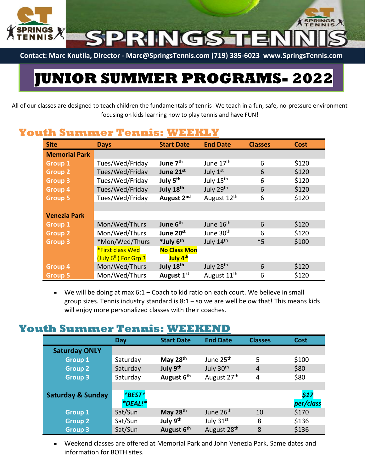

**Contact: Marc Knutila, Director - [Marc@SpringsTennis.com](mailto:Marc@SpringsTennis.com) (719) 385-6023 [www.SpringsTennis.com](http://www.springstennis.com/)**

# **JUNIOR SUMMER PROGRAMS- 2022**

All of our classes are designed to teach children the fundamentals of tennis! We teach in a fun, safe, no-pressure environment focusing on kids learning how to play tennis and have FUN!

#### **Youth Summer Tennis: WEEKLY**

| <b>Site</b>          | <b>Days</b>                       | <b>Start Date</b>      | <b>End Date</b>         | <b>Classes</b> | <b>Cost</b> |
|----------------------|-----------------------------------|------------------------|-------------------------|----------------|-------------|
| <b>Memorial Park</b> |                                   |                        |                         |                |             |
| <b>Group 1</b>       | Tues/Wed/Friday                   | June 7 <sup>th</sup>   | June 17 <sup>th</sup>   | 6              | \$120       |
| <b>Group 2</b>       | Tues/Wed/Friday                   | June 21st              | July 1st                | 6              | \$120       |
| <b>Group 3</b>       | Tues/Wed/Friday                   | July 5 <sup>th</sup>   | July 15 <sup>th</sup>   | 6              | \$120       |
| <b>Group 4</b>       | Tues/Wed/Friday                   | July 18th              | July 29th               | 6              | \$120       |
| <b>Group 5</b>       | Tues/Wed/Friday                   | August 2 <sup>nd</sup> | August 12 <sup>th</sup> | 6              | \$120       |
|                      |                                   |                        |                         |                |             |
| <b>Venezia Park</b>  |                                   |                        |                         |                |             |
| <b>Group 1</b>       | Mon/Wed/Thurs                     | June 6 <sup>th</sup>   | June 16 <sup>th</sup>   | 6              | \$120       |
| <b>Group 2</b>       | Mon/Wed/Thurs                     | June 20st              | June 30 <sup>th</sup>   | 6              | \$120       |
| <b>Group 3</b>       | *Mon/Wed/Thurs                    | *July 6th              | July 14th               | $*5$           | \$100       |
|                      | *First class Wed                  | <b>No Class Mon</b>    |                         |                |             |
|                      | (July 6 <sup>th</sup> ) For Grp 3 | July 4 <sup>th</sup>   |                         |                |             |
| <b>Group 4</b>       | Mon/Wed/Thurs                     | July 18th              | July 28th               | 6              | \$120       |
| <b>Group 5</b>       | Mon/Wed/Thurs                     | August 1 <sup>st</sup> | August 11 <sup>th</sup> | 6              | \$120       |

**-** We will be doing at max 6:1 – Coach to kid ratio on each court. We believe in small group sizes. Tennis industry standard is  $8:1 -$  so we are well below that! This means kids will enjoy more personalized classes with their coaches.

#### **Youth Summer Tennis: WEEKEND**

|                              | <b>Day</b>     | <b>Start Date</b>      | <b>End Date</b>         | <b>Classes</b> | Cost      |
|------------------------------|----------------|------------------------|-------------------------|----------------|-----------|
| <b>Saturday ONLY</b>         |                |                        |                         |                |           |
| <b>Group 1</b>               | Saturday       | May 28 <sup>th</sup>   | June 25 <sup>th</sup>   | 5              | \$100     |
| <b>Group 2</b>               | Saturday       | July 9th               | July 30 <sup>th</sup>   | $\overline{4}$ | \$80      |
| <b>Group 3</b>               | Saturday       | August 6 <sup>th</sup> | August 27 <sup>th</sup> | 4              | \$80      |
|                              |                |                        |                         |                |           |
| <b>Saturday &amp; Sunday</b> | *BEST*         |                        |                         |                | \$17      |
|                              | <i>*DEAL!*</i> |                        |                         |                | per/class |
| <b>Group 1</b>               | Sat/Sun        | May 28th               | June 26 <sup>th</sup>   | 10             | \$170     |
| <b>Group 2</b>               | Sat/Sun        | July 9 <sup>th</sup>   | July 31 <sup>st</sup>   | 8              | \$136     |
| <b>Group 3</b>               | Sat/Sun        | August 6th             | August 28 <sup>th</sup> | 8              | \$136     |

**-** Weekend classes are offered at Memorial Park and John Venezia Park. Same dates and information for BOTH sites.